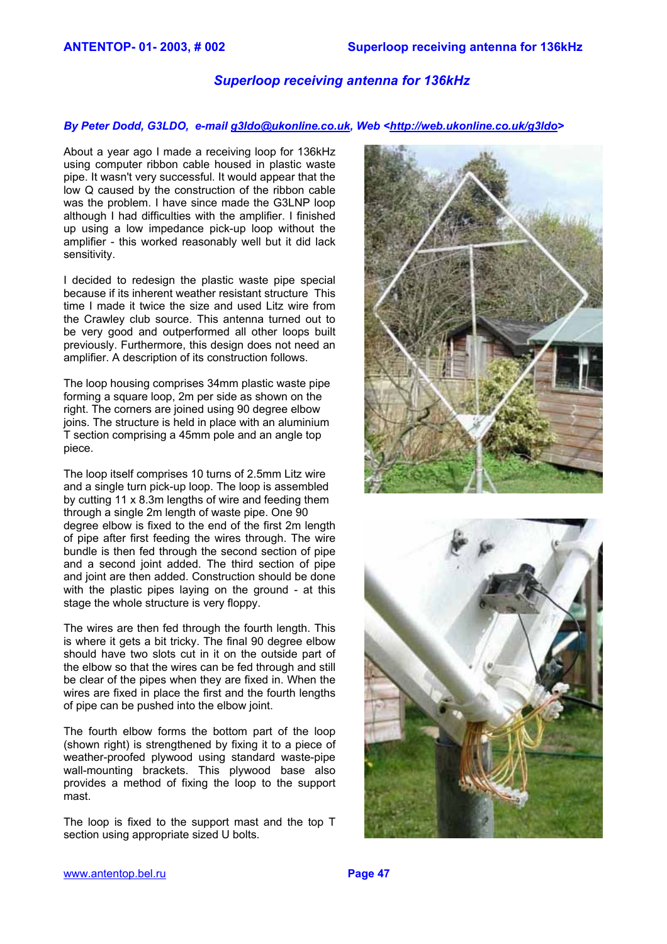# *Superloop receiving antenna for 136kHz*

#### *By Peter Dodd, G3LDO, e-mail [g3ldo@ukonline.co.uk](mailto:g3ldo@ukonline.co.uk), Web <<http://web.ukonline.co.uk/g3ldo>>*

About a year ago I made a receiving loop for 136kHz using computer ribbon cable housed in plastic waste pipe. It wasn't very successful. It would appear that the low Q caused by the construction of the ribbon cable was the problem. I have since made the G3LNP loop although I had difficulties with the amplifier. I finished up using a low impedance pick-up loop without the amplifier - this worked reasonably well but it did lack sensitivity.

I decided to redesign the plastic waste pipe special because if its inherent weather resistant structure This time I made it twice the size and used Litz wire from the Crawley club source. This antenna turned out to be very good and outperformed all other loops built previously. Furthermore, this design does not need an amplifier. A description of its construction follows.

The loop housing comprises 34mm plastic waste pipe forming a square loop, 2m per side as shown on the right. The corners are joined using 90 degree elbow joins. The structure is held in place with an aluminium T section comprising a 45mm pole and an angle top piece.

The loop itself comprises 10 turns of 2.5mm Litz wire and a single turn pick-up loop. The loop is assembled by cutting 11 x 8.3m lengths of wire and feeding them through a single 2m length of waste pipe. One 90 degree elbow is fixed to the end of the first 2m length of pipe after first feeding the wires through. The wire bundle is then fed through the second section of pipe and a second joint added. The third section of pipe and joint are then added. Construction should be done with the plastic pipes laying on the ground - at this stage the whole structure is very floppy.

The wires are then fed through the fourth length. This is where it gets a bit tricky. The final 90 degree elbow should have two slots cut in it on the outside part of the elbow so that the wires can be fed through and still be clear of the pipes when they are fixed in. When the wires are fixed in place the first and the fourth lengths of pipe can be pushed into the elbow joint.

The fourth elbow forms the bottom part of the loop (shown right) is strengthened by fixing it to a piece of weather-proofed plywood using standard waste-pipe wall-mounting brackets. This plywood base also provides a method of fixing the loop to the support mast.

The loop is fixed to the support mast and the top T section using appropriate sized U bolts.



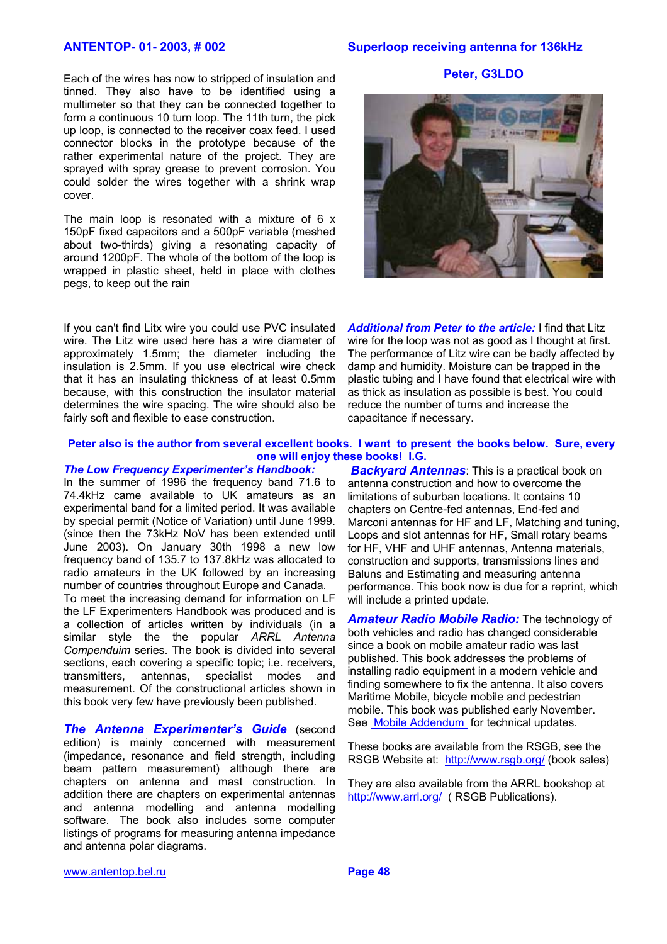#### **ANTENTOP- 01- 2003, # 002 Superloop receiving antenna for 136kHz**

**Peter, G3LDO** 

Each of the wires has now to stripped of insulation and tinned. They also have to be identified using a multimeter so that they can be connected together to form a continuous 10 turn loop. The 11th turn, the pick up loop, is connected to the receiver coax feed. I used connector blocks in the prototype because of the rather experimental nature of the project. They are sprayed with spray grease to prevent corrosion. You could solder the wires together with a shrink wrap cover.

The main loop is resonated with a mixture of 6 x 150pF fixed capacitors and a 500pF variable (meshed about two-thirds) giving a resonating capacity of around 1200pF. The whole of the bottom of the loop is wrapped in plastic sheet, held in place with clothes pegs, to keep out the rain

If you can't find Litx wire you could use PVC insulated wire. The Litz wire used here has a wire diameter of approximately 1.5mm; the diameter including the insulation is 2.5mm. If you use electrical wire check that it has an insulating thickness of at least 0.5mm because, with this construction the insulator material determines the wire spacing. The wire should also be fairly soft and flexible to ease construction.

*Additional from Peter to the article:* I find that Litz wire for the loop was not as good as I thought at first. The performance of Litz wire can be badly affected by damp and humidity. Moisture can be trapped in the plastic tubing and I have found that electrical wire with as thick as insulation as possible is best. You could reduce the number of turns and increase the capacitance if necessary.

### **Peter also is the author from several excellent books. I want to present the books below. Sure, every one will enjoy these books! I.G.**

*The Low Frequency Experimenter's Handbook:*  In the summer of 1996 the frequency band 71.6 to 74.4kHz came available to UK amateurs as an experimental band for a limited period. It was available by special permit (Notice of Variation) until June 1999. (since then the 73kHz NoV has been extended until June 2003). On January 30th 1998 a new low frequency band of 135.7 to 137.8kHz was allocated to radio amateurs in the UK followed by an increasing number of countries throughout Europe and Canada. To meet the increasing demand for information on LF the LF Experimenters Handbook was produced and is a collection of articles written by individuals (in a similar style the the popular *ARRL Antenna Compenduim* series. The book is divided into several sections, each covering a specific topic; *i.e.* receivers, transmitters, antennas, specialist modes and measurement. Of the constructional articles shown in this book very few have previously been published.

*The Antenna Experimenter's Guide* (second edition) is mainly concerned with measurement (impedance, resonance and field strength, including beam pattern measurement) although there are chapters on antenna and mast construction. In addition there are chapters on experimental antennas and antenna modelling and antenna modelling software. The book also includes some computer listings of programs for measuring antenna impedance and antenna polar diagrams.

*Backyard Antennas*: This is a practical book on antenna construction and how to overcome the limitations of suburban locations. It contains 10 chapters on Centre-fed antennas, End-fed and Marconi antennas for HF and LF, Matching and tuning, Loops and slot antennas for HF, Small rotary beams for HF, VHF and UHF antennas, Antenna materials, construction and supports, transmissions lines and Baluns and Estimating and measuring antenna performance. This book now is due for a reprint, which will include a printed update.

*Amateur Radio Mobile Radio:* The technology of both vehicles and radio has changed considerable since a book on mobile amateur radio was last published. This book addresses the problems of installing radio equipment in a modern vehicle and finding somewhere to fix the antenna. It also covers Maritime Mobile, bicycle mobile and pedestrian mobile. This book was published early November. See [Mobile Addendum](http://web.ukonline.co.uk/g3ldo/Mobile.htm) for technical updates.

These books are available from the RSGB, see the RSGB Website at: <http://www.rsgb.org/> (book sales)

They are also available from the ARRL bookshop at <http://www.arrl.org/> ( RSGB Publications).

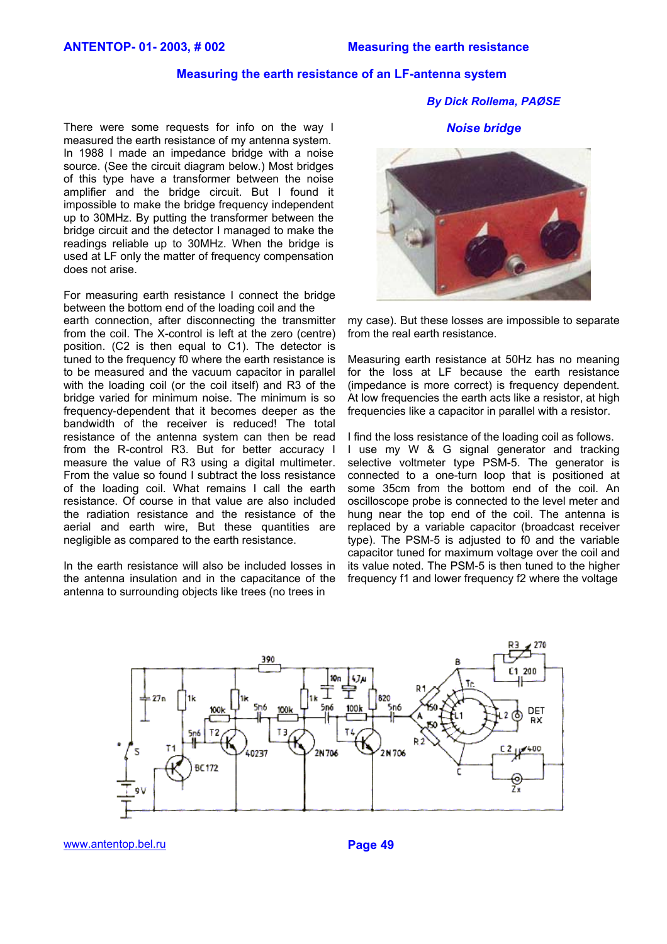# **Measuring the earth resistance of an LF-antenna system**

There were some requests for info on the way I measured the earth resistance of my antenna system. In 1988 I made an impedance bridge with a noise source. (See the circuit diagram below.) Most bridges of this type have a transformer between the noise amplifier and the bridge circuit. But I found it impossible to make the bridge frequency independent up to 30MHz. By putting the transformer between the bridge circuit and the detector I managed to make the readings reliable up to 30MHz. When the bridge is used at LF only the matter of frequency compensation does not arise.

For measuring earth resistance I connect the bridge between the bottom end of the loading coil and the earth connection, after disconnecting the transmitter from the coil. The X-control is left at the zero (centre) position. (C2 is then equal to C1). The detector is tuned to the frequency f0 where the earth resistance is to be measured and the vacuum capacitor in parallel with the loading coil (or the coil itself) and R3 of the bridge varied for minimum noise. The minimum is so frequency-dependent that it becomes deeper as the bandwidth of the receiver is reduced! The total resistance of the antenna system can then be read from the R-control R3. But for better accuracy I measure the value of R3 using a digital multimeter. From the value so found I subtract the loss resistance of the loading coil. What remains I call the earth resistance. Of course in that value are also included the radiation resistance and the resistance of the aerial and earth wire, But these quantities are negligible as compared to the earth resistance.

In the earth resistance will also be included losses in the antenna insulation and in the capacitance of the antenna to surrounding objects like trees (no trees in

*By Dick Rollema, PAØSE* 

*Noise bridge* 



my case). But these losses are impossible to separate from the real earth resistance.

Measuring earth resistance at 50Hz has no meaning for the loss at LF because the earth resistance (impedance is more correct) is frequency dependent. At low frequencies the earth acts like a resistor, at high frequencies like a capacitor in parallel with a resistor.

I find the loss resistance of the loading coil as follows. I use my W & G signal generator and tracking selective voltmeter type PSM-5. The generator is connected to a one-turn loop that is positioned at some 35cm from the bottom end of the coil. An oscilloscope probe is connected to the level meter and hung near the top end of the coil. The antenna is replaced by a variable capacitor (broadcast receiver type). The PSM-5 is adjusted to f0 and the variable capacitor tuned for maximum voltage over the coil and its value noted. The PSM-5 is then tuned to the higher frequency f1 and lower frequency f2 where the voltage



[www.antentop.bel.ru](http://www.antentop.bel.ru/) **Page 49**